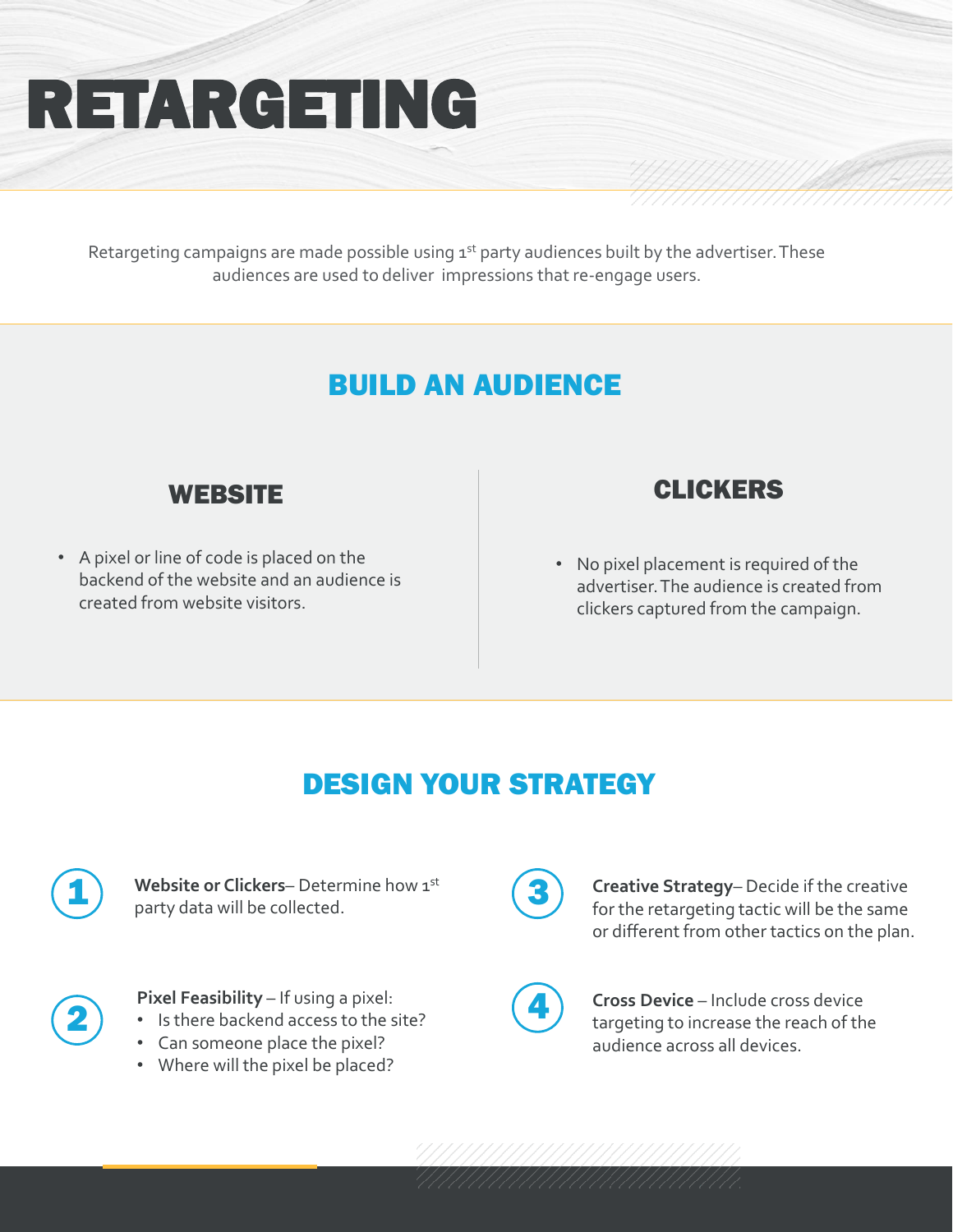# RETARGETING

Retargeting campaigns are made possible using 1st party audiences built by the advertiser. These audiences are used to deliver impressions that re-engage users.

### BUILD AN AUDIENCE



• A pixel or line of code is placed on the backend of the website and an audience is created from website visitors.

#### CLICKERS

• No pixel placement is required of the advertiser. The audience is created from clickers captured from the campaign.

#### DESIGN YOUR STRATEGY



**Website or Clickers**– Determine how 1 st party data will be collected.



**Pixel Feasibility** – If using a pixel:

- Is there backend access to the site?
- Can someone place the pixel?
- Where will the pixel be placed?



**Creative Strategy**– Decide if the creative for the retargeting tactic will be the same or different from other tactics on the plan.

**Cross Device** – Include cross device targeting to increase the reach of the audience across all devices.